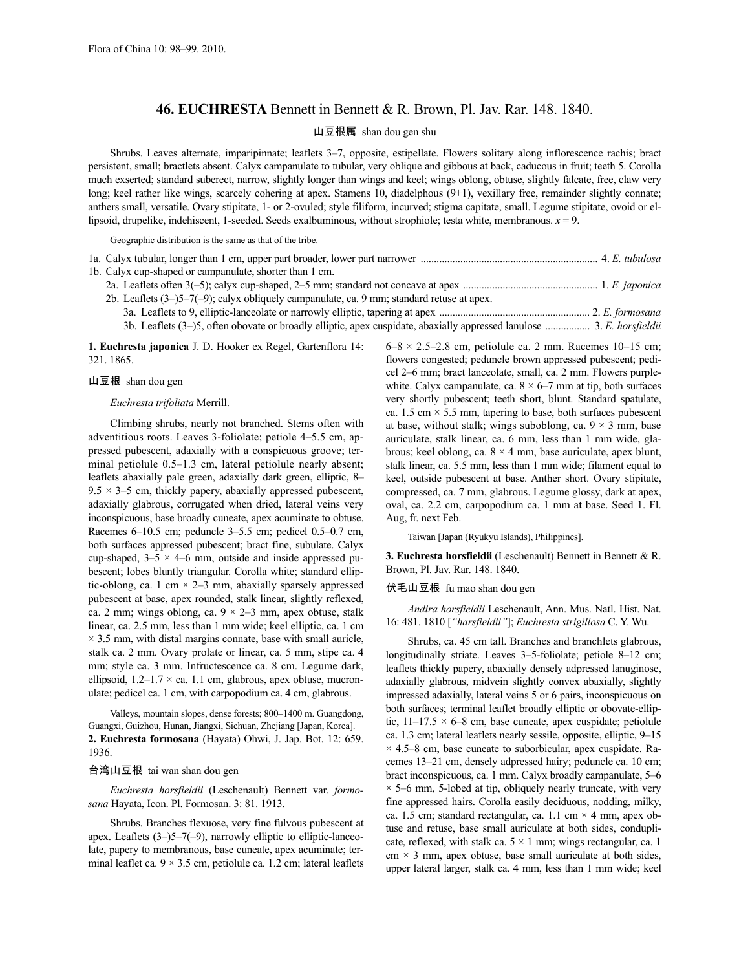## **46. EUCHRESTA** Bennett in Bennett & R. Brown, Pl. Jav. Rar. 148. 1840.

## 山豆根属 shan dou gen shu

Shrubs. Leaves alternate, imparipinnate; leaflets 3–7, opposite, estipellate. Flowers solitary along inflorescence rachis; bract persistent, small; bractlets absent. Calyx campanulate to tubular, very oblique and gibbous at back, caducous in fruit; teeth 5. Corolla much exserted; standard suberect, narrow, slightly longer than wings and keel; wings oblong, obtuse, slightly falcate, free, claw very long; keel rather like wings, scarcely cohering at apex. Stamens 10, diadelphous (9+1), vexillary free, remainder slightly connate; anthers small, versatile. Ovary stipitate, 1- or 2-ovuled; style filiform, incurved; stigma capitate, small. Legume stipitate, ovoid or ellipsoid, drupelike, indehiscent, 1-seeded. Seeds exalbuminous, without strophiole; testa white, membranous. *x* = 9.

Geographic distribution is the same as that of the tribe.

| 1a. Calyx tubular, longer than 1 cm, upper part broader, lower part narrower manufactured manufactured and the E. tubulosa |  |
|----------------------------------------------------------------------------------------------------------------------------|--|
| 1b. Calyx cup-shaped or campanulate, shorter than 1 cm.                                                                    |  |
|                                                                                                                            |  |
| 2b. Leaflets $(3-)5-7(-9)$ ; calyx obliquely campanulate, ca. 9 mm; standard retuse at apex.                               |  |
|                                                                                                                            |  |
| 3b. Leaflets (3–)5, often obovate or broadly elliptic, apex cuspidate, abaxially appressed lanulose  3. E. horsfieldii     |  |

**1. Euchresta japonica** J. D. Hooker ex Regel, Gartenflora 14: 321. 1865.

#### 山豆根 shan dou gen

#### *Euchresta trifoliata* Merrill.

Climbing shrubs, nearly not branched. Stems often with adventitious roots. Leaves 3-foliolate; petiole 4–5.5 cm, appressed pubescent, adaxially with a conspicuous groove; terminal petiolule 0.5–1.3 cm, lateral petiolule nearly absent; leaflets abaxially pale green, adaxially dark green, elliptic, 8–  $9.5 \times 3 - 5$  cm, thickly papery, abaxially appressed pubescent, adaxially glabrous, corrugated when dried, lateral veins very inconspicuous, base broadly cuneate, apex acuminate to obtuse. Racemes 6–10.5 cm; peduncle 3–5.5 cm; pedicel 0.5–0.7 cm, both surfaces appressed pubescent; bract fine, subulate. Calyx cup-shaped,  $3-5 \times 4-6$  mm, outside and inside appressed pubescent; lobes bluntly triangular. Corolla white; standard elliptic-oblong, ca. 1 cm  $\times$  2–3 mm, abaxially sparsely appressed pubescent at base, apex rounded, stalk linear, slightly reflexed, ca. 2 mm; wings oblong, ca.  $9 \times 2 - 3$  mm, apex obtuse, stalk linear, ca. 2.5 mm, less than 1 mm wide; keel elliptic, ca. 1 cm  $\times$  3.5 mm, with distal margins connate, base with small auricle, stalk ca. 2 mm. Ovary prolate or linear, ca. 5 mm, stipe ca. 4 mm; style ca. 3 mm. Infructescence ca. 8 cm. Legume dark, ellipsoid,  $1.2-1.7 \times$  ca. 1.1 cm, glabrous, apex obtuse, mucronulate; pedicel ca. 1 cm, with carpopodium ca. 4 cm, glabrous.

Valleys, mountain slopes, dense forests; 800–1400 m. Guangdong, Guangxi, Guizhou, Hunan, Jiangxi, Sichuan, Zhejiang [Japan, Korea]. **2. Euchresta formosana** (Hayata) Ohwi, J. Jap. Bot. 12: 659. 1936.

### 台湾山豆根 tai wan shan dou gen

*Euchresta horsfieldii* (Leschenault) Bennett var. *formosana* Hayata, Icon. Pl. Formosan. 3: 81. 1913.

Shrubs. Branches flexuose, very fine fulvous pubescent at apex. Leaflets (3–)5–7(–9), narrowly elliptic to elliptic-lanceolate, papery to membranous, base cuneate, apex acuminate; terminal leaflet ca.  $9 \times 3.5$  cm, petiolule ca. 1.2 cm; lateral leaflets  $6-8 \times 2.5-2.8$  cm, petiolule ca. 2 mm. Racemes 10–15 cm; flowers congested; peduncle brown appressed pubescent; pedicel 2–6 mm; bract lanceolate, small, ca. 2 mm. Flowers purplewhite. Calyx campanulate, ca.  $8 \times 6-7$  mm at tip, both surfaces very shortly pubescent; teeth short, blunt. Standard spatulate, ca. 1.5 cm  $\times$  5.5 mm, tapering to base, both surfaces pubescent at base, without stalk; wings suboblong, ca.  $9 \times 3$  mm, base auriculate, stalk linear, ca. 6 mm, less than 1 mm wide, glabrous; keel oblong, ca.  $8 \times 4$  mm, base auriculate, apex blunt, stalk linear, ca. 5.5 mm, less than 1 mm wide; filament equal to keel, outside pubescent at base. Anther short. Ovary stipitate, compressed, ca. 7 mm, glabrous. Legume glossy, dark at apex, oval, ca. 2.2 cm, carpopodium ca. 1 mm at base. Seed 1. Fl. Aug, fr. next Feb.

Taiwan [Japan (Ryukyu Islands), Philippines].

**3. Euchresta horsfieldii** (Leschenault) Bennett in Bennett & R. Brown, Pl. Jav. Rar. 148. 1840.

### 伏毛山豆根 fu mao shan dou gen

*Andira horsfieldii* Leschenault, Ann. Mus. Natl. Hist. Nat. 16: 481. 1810 [*"harsfieldii"*]; *Euchresta strigillosa* C. Y. Wu.

Shrubs, ca. 45 cm tall. Branches and branchlets glabrous, longitudinally striate. Leaves 3–5-foliolate; petiole 8–12 cm; leaflets thickly papery, abaxially densely adpressed lanuginose, adaxially glabrous, midvein slightly convex abaxially, slightly impressed adaxially, lateral veins 5 or 6 pairs, inconspicuous on both surfaces; terminal leaflet broadly elliptic or obovate-elliptic,  $11-17.5 \times 6-8$  cm, base cuneate, apex cuspidate; petiolule ca. 1.3 cm; lateral leaflets nearly sessile, opposite, elliptic, 9–15  $\times$  4.5–8 cm, base cuneate to suborbicular, apex cuspidate. Racemes 13–21 cm, densely adpressed hairy; peduncle ca. 10 cm; bract inconspicuous, ca. 1 mm. Calyx broadly campanulate, 5–6  $\times$  5–6 mm, 5-lobed at tip, obliquely nearly truncate, with very fine appressed hairs. Corolla easily deciduous, nodding, milky, ca. 1.5 cm; standard rectangular, ca. 1.1 cm  $\times$  4 mm, apex obtuse and retuse, base small auriculate at both sides, conduplicate, reflexed, with stalk ca.  $5 \times 1$  mm; wings rectangular, ca. 1  $cm \times 3$  mm, apex obtuse, base small auriculate at both sides, upper lateral larger, stalk ca. 4 mm, less than 1 mm wide; keel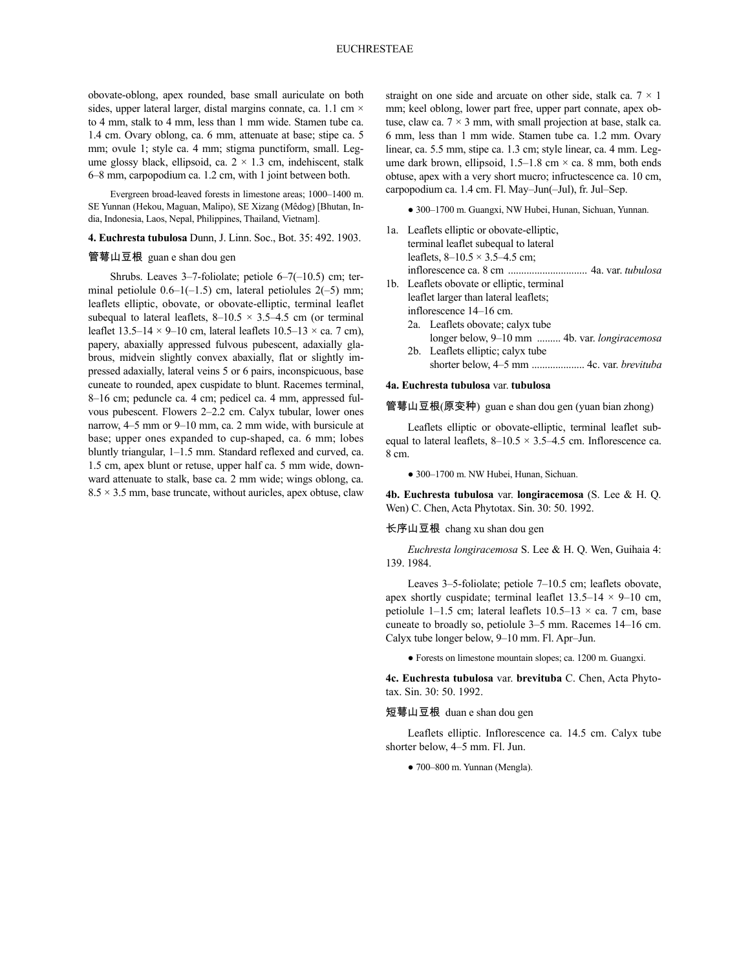obovate-oblong, apex rounded, base small auriculate on both sides, upper lateral larger, distal margins connate, ca. 1.1 cm  $\times$ to 4 mm, stalk to 4 mm, less than 1 mm wide. Stamen tube ca. 1.4 cm. Ovary oblong, ca. 6 mm, attenuate at base; stipe ca. 5 mm; ovule 1; style ca. 4 mm; stigma punctiform, small. Legume glossy black, ellipsoid, ca.  $2 \times 1.3$  cm, indehiscent, stalk 6–8 mm, carpopodium ca. 1.2 cm, with 1 joint between both.

Evergreen broad-leaved forests in limestone areas; 1000–1400 m. SE Yunnan (Hekou, Maguan, Malipo), SE Xizang (Mêdog) [Bhutan, India, Indonesia, Laos, Nepal, Philippines, Thailand, Vietnam].

**4. Euchresta tubulosa** Dunn, J. Linn. Soc., Bot. 35: 492. 1903.

## 管萼山豆根 guan e shan dou gen

Shrubs. Leaves 3–7-foliolate; petiole 6–7(–10.5) cm; terminal petiolule  $0.6-1(-1.5)$  cm, lateral petiolules  $2(-5)$  mm; leaflets elliptic, obovate, or obovate-elliptic, terminal leaflet subequal to lateral leaflets,  $8-10.5 \times 3.5-4.5$  cm (or terminal leaflet  $13.5-14 \times 9-10$  cm, lateral leaflets  $10.5-13 \times$  ca. 7 cm), papery, abaxially appressed fulvous pubescent, adaxially glabrous, midvein slightly convex abaxially, flat or slightly impressed adaxially, lateral veins 5 or 6 pairs, inconspicuous, base cuneate to rounded, apex cuspidate to blunt. Racemes terminal, 8–16 cm; peduncle ca. 4 cm; pedicel ca. 4 mm, appressed fulvous pubescent. Flowers 2–2.2 cm. Calyx tubular, lower ones narrow, 4–5 mm or 9–10 mm, ca. 2 mm wide, with bursicule at base; upper ones expanded to cup-shaped, ca. 6 mm; lobes bluntly triangular, 1–1.5 mm. Standard reflexed and curved, ca. 1.5 cm, apex blunt or retuse, upper half ca. 5 mm wide, downward attenuate to stalk, base ca. 2 mm wide; wings oblong, ca.  $8.5 \times 3.5$  mm, base truncate, without auricles, apex obtuse, claw

straight on one side and arcuate on other side, stalk ca.  $7 \times 1$ mm; keel oblong, lower part free, upper part connate, apex obtuse, claw ca.  $7 \times 3$  mm, with small projection at base, stalk ca. 6 mm, less than 1 mm wide. Stamen tube ca. 1.2 mm. Ovary linear, ca. 5.5 mm, stipe ca. 1.3 cm; style linear, ca. 4 mm. Legume dark brown, ellipsoid,  $1.5-1.8$  cm  $\times$  ca. 8 mm, both ends obtuse, apex with a very short mucro; infructescence ca. 10 cm, carpopodium ca. 1.4 cm. Fl. May–Jun(–Jul), fr. Jul–Sep.

● 300–1700 m. Guangxi, NW Hubei, Hunan, Sichuan, Yunnan.

- 1a. Leaflets elliptic or obovate-elliptic, terminal leaflet subequal to lateral leaflets,  $8-10.5 \times 3.5-4.5$  cm; inflorescence ca. 8 cm .............................. 4a. var. *tubulosa*
- 1b. Leaflets obovate or elliptic, terminal leaflet larger than lateral leaflets; inflorescence 14–16 cm.
	- 2a. Leaflets obovate; calyx tube longer below, 9–10 mm ......... 4b. var. *longiracemosa*
	- 2b. Leaflets elliptic; calyx tube shorter below, 4–5 mm .................... 4c. var. *brevituba*

### **4a. Euchresta tubulosa** var. **tubulosa**

管萼山豆根(原变种) guan e shan dou gen (yuan bian zhong)

Leaflets elliptic or obovate-elliptic, terminal leaflet subequal to lateral leaflets,  $8-10.5 \times 3.5-4.5$  cm. Inflorescence ca. 8 cm.

● 300–1700 m. NW Hubei, Hunan, Sichuan.

**4b. Euchresta tubulosa** var. **longiracemosa** (S. Lee & H. Q. Wen) C. Chen, Acta Phytotax. Sin. 30: 50. 1992.

#### 长序山豆根 chang xu shan dou gen

*Euchresta longiracemosa* S. Lee & H. Q. Wen, Guihaia 4: 139. 1984.

Leaves 3–5-foliolate; petiole 7–10.5 cm; leaflets obovate, apex shortly cuspidate; terminal leaflet  $13.5-14 \times 9-10$  cm, petiolule 1–1.5 cm; lateral leaflets  $10.5$ –13  $\times$  ca. 7 cm, base cuneate to broadly so, petiolule 3–5 mm. Racemes 14–16 cm. Calyx tube longer below, 9–10 mm. Fl. Apr–Jun.

● Forests on limestone mountain slopes; ca. 1200 m. Guangxi.

**4c. Euchresta tubulosa** var. **brevituba** C. Chen, Acta Phytotax. Sin. 30: 50. 1992.

#### 短萼山豆根 duan e shan dou gen

Leaflets elliptic. Inflorescence ca. 14.5 cm. Calyx tube shorter below, 4–5 mm. Fl. Jun.

● 700–800 m. Yunnan (Mengla).